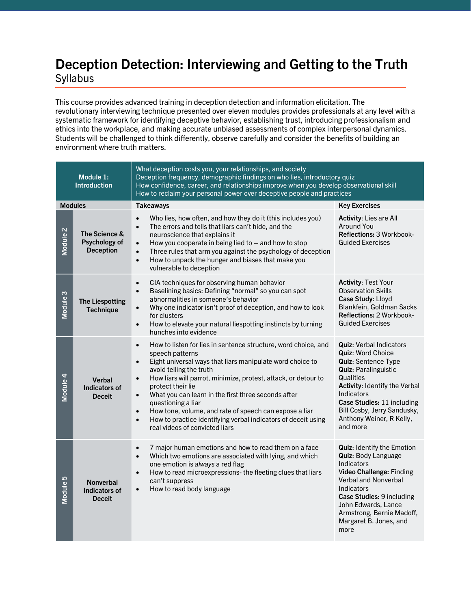## **Deception Detection: Interviewing and Getting to the Truth** Syllabus

This course provides advanced training in deception detection and information elicitation. The revolutionary interviewing technique presented over eleven modules provides professionals at any level with a systematic framework for identifying deceptive behavior, establishing trust, introducing professionalism and ethics into the workplace, and making accurate unbiased assessments of complex interpersonal dynamics. Students will be challenged to think differently, observe carefully and consider the benefits of building an environment where truth matters.

| Module 1:<br><b>Introduction</b> |                                                           | What deception costs you, your relationships, and society<br>Deception frequency, demographic findings on who lies, introductory quiz<br>How confidence, career, and relationships improve when you develop observational skill<br>How to reclaim your personal power over deceptive people and practices                                                                                                                                                                                                                                                                                |                                                                                                                                                                                                                                                                                          |  |
|----------------------------------|-----------------------------------------------------------|------------------------------------------------------------------------------------------------------------------------------------------------------------------------------------------------------------------------------------------------------------------------------------------------------------------------------------------------------------------------------------------------------------------------------------------------------------------------------------------------------------------------------------------------------------------------------------------|------------------------------------------------------------------------------------------------------------------------------------------------------------------------------------------------------------------------------------------------------------------------------------------|--|
| <b>Modules</b>                   |                                                           | <b>Takeaways</b>                                                                                                                                                                                                                                                                                                                                                                                                                                                                                                                                                                         | <b>Key Exercises</b>                                                                                                                                                                                                                                                                     |  |
| Module <sub>2</sub>              | The Science &<br>Psychology of<br><b>Deception</b>        | Who lies, how often, and how they do it (this includes you)<br>$\bullet$<br>The errors and tells that liars can't hide, and the<br>$\bullet$<br>neuroscience that explains it<br>How you cooperate in being lied to $-$ and how to stop<br>$\bullet$<br>Three rules that arm you against the psychology of deception<br>$\bullet$<br>How to unpack the hunger and biases that make you<br>$\bullet$<br>vulnerable to deception                                                                                                                                                           | <b>Activity: Lies are All</b><br><b>Around You</b><br>Reflections: 3 Workbook-<br><b>Guided Exercises</b>                                                                                                                                                                                |  |
| Module <sub>3</sub>              | <b>The Liespotting</b><br><b>Technique</b>                | CIA techniques for observing human behavior<br>$\bullet$<br>Baselining basics: Defining "normal" so you can spot<br>$\bullet$<br>abnormalities in someone's behavior<br>Why one indicator isn't proof of deception, and how to look<br>$\bullet$<br>for clusters<br>How to elevate your natural liespotting instincts by turning<br>$\bullet$<br>hunches into evidence                                                                                                                                                                                                                   | <b>Activity: Test Your</b><br><b>Observation Skills</b><br>Case Study: Lloyd<br>Blankfein, Goldman Sacks<br>Reflections: 2 Workbook-<br><b>Guided Exercises</b>                                                                                                                          |  |
| Module 4                         | <b>Verbal</b><br>Indicators of<br><b>Deceit</b>           | How to listen for lies in sentence structure, word choice, and<br>$\bullet$<br>speech patterns<br>Eight universal ways that liars manipulate word choice to<br>$\bullet$<br>avoid telling the truth<br>How liars will parrot, minimize, protest, attack, or detour to<br>$\bullet$<br>protect their lie<br>What you can learn in the first three seconds after<br>$\bullet$<br>questioning a liar<br>How tone, volume, and rate of speech can expose a liar<br>$\bullet$<br>How to practice identifying verbal indicators of deceit using<br>$\bullet$<br>real videos of convicted liars | <b>Quiz: Verbal Indicators</b><br><b>Quiz: Word Choice</b><br>Quiz: Sentence Type<br><b>Quiz: Paralinguistic</b><br>Qualities<br>Activity: Identify the Verbal<br><b>Indicators</b><br>Case Studies: 11 including<br>Bill Cosby, Jerry Sandusky,<br>Anthony Weiner, R Kelly,<br>and more |  |
| Module 5                         | <b>Nonverbal</b><br><b>Indicators of</b><br><b>Deceit</b> | 7 major human emotions and how to read them on a face<br>$\bullet$<br>Which two emotions are associated with lying, and which<br>$\bullet$<br>one emotion is always a red flag<br>How to read microexpressions- the fleeting clues that liars<br>$\bullet$<br>can't suppress<br>How to read body language<br>$\bullet$                                                                                                                                                                                                                                                                   | Quiz: Identify the Emotion<br><b>Quiz: Body Language</b><br><b>Indicators</b><br>Video Challenge: Finding<br><b>Verbal and Nonverbal</b><br><b>Indicators</b><br>Case Studies: 9 including<br>John Edwards, Lance<br>Armstrong, Bernie Madoff,<br>Margaret B. Jones, and<br>more         |  |